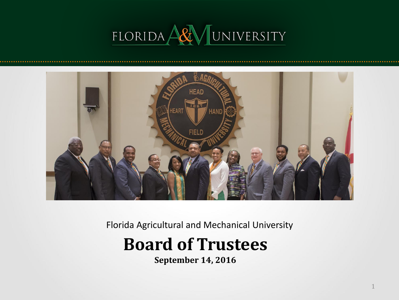# FLORIDA ARY UNIVERSITY



Florida Agricultural and Mechanical University

## **Board of Trustees**

**September 14, 2016**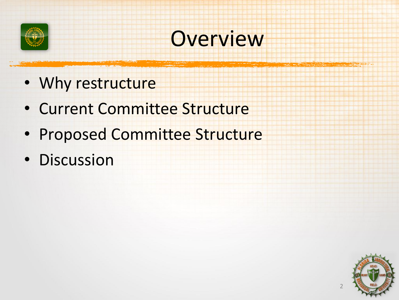

## **Overview**

- Why restructure
- Current Committee Structure
- Proposed Committee Structure
- Discussion

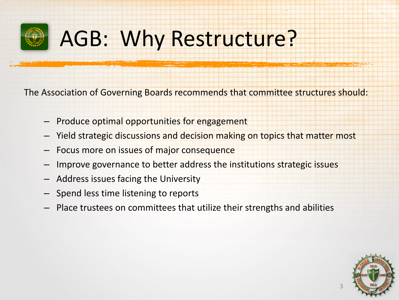

# AGB: Why Restructure?

The Association of Governing Boards recommends that committee structures should:

- Produce optimal opportunities for engagement
- Yield strategic discussions and decision making on topics that matter most
- Focus more on issues of major consequence
- Improve governance to better address the institutions strategic issues
- Address issues facing the University
- Spend less time listening to reports
- Place trustees on committees that utilize their strengths and abilities

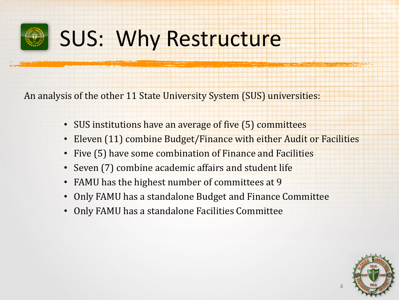

# SUS: Why Restructure

An analysis of the other 11 State University System (SUS) universities:

- SUS institutions have an average of five (5) committees
- Eleven (11) combine Budget/Finance with either Audit or Facilities
- Five (5) have some combination of Finance and Facilities
- Seven (7) combine academic affairs and student life
- FAMU has the highest number of committees at 9
- Only FAMU has a standalone Budget and Finance Committee
- Only FAMU has a standalone Facilities Committee

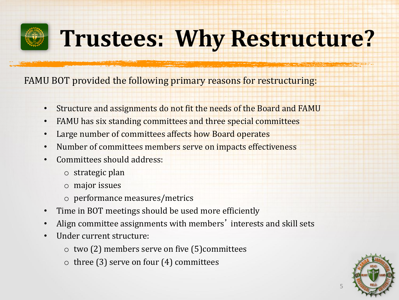# **Trustees: Why Restructure?**

FAMU BOT provided the following primary reasons for restructuring:

- Structure and assignments do not fit the needs of the Board and FAMU
- FAMU has six standing committees and three special committees
- Large number of committees affects how Board operates
- Number of committees members serve on impacts effectiveness
- Committees should address:
	- o strategic plan
	- o major issues
	- o performance measures/metrics
- Time in BOT meetings should be used more efficiently
- Align committee assignments with members' interests and skill sets
- Under current structure:
	- o two (2) members serve on five (5)committees
	- $\circ$  three (3) serve on four (4) committees

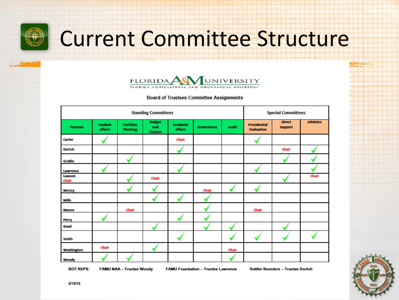

# Current Committee Structure



#### **Board of Trustees Committee Assignments**

| <b>Standing Committees</b> |                                  |                                      |                                        |                                   |            |              |                                          | <b>Special Committees</b>       |                  |  |
|----------------------------|----------------------------------|--------------------------------------|----------------------------------------|-----------------------------------|------------|--------------|------------------------------------------|---------------------------------|------------------|--|
| <b>Trustees</b>            | <b>Student</b><br><b>Affairs</b> | <b>Facilities</b><br><b>Planning</b> | <b>Budget</b><br>And<br><b>Finance</b> | <b>Academic</b><br><b>Affairs</b> | Governance | <b>Audit</b> | <b>Presidential</b><br><b>Evaluation</b> | <b>Direct</b><br><b>Support</b> | <b>Athletics</b> |  |
| Carter                     |                                  |                                      |                                        | Chair                             |            |              |                                          |                                 |                  |  |
| <b>Dortch</b>              |                                  |                                      |                                        |                                   |            |              |                                          | Chair                           |                  |  |
| <b>Grable</b>              |                                  |                                      |                                        |                                   |            |              |                                          |                                 |                  |  |
| Lawrence                   |                                  |                                      |                                        |                                   |            |              |                                          |                                 |                  |  |
| Lawson<br>Chair            |                                  |                                      | Chair                                  |                                   |            |              |                                          |                                 | Chair            |  |
| <b>McCoy</b>               |                                  |                                      |                                        |                                   | Chair      |              |                                          |                                 |                  |  |
| <b>Mills</b>               |                                  |                                      |                                        |                                   |            |              |                                          |                                 |                  |  |
| <b>Moore</b>               |                                  | Chair                                |                                        |                                   |            |              | Chair                                    |                                 |                  |  |
| Perry                      |                                  |                                      |                                        |                                   |            |              |                                          |                                 |                  |  |
| Reed                       |                                  |                                      |                                        |                                   |            |              |                                          |                                 |                  |  |
| Smith                      |                                  |                                      |                                        |                                   |            |              |                                          |                                 |                  |  |
| <b>Washington</b>          | Chair                            |                                      |                                        |                                   |            | Chair        |                                          |                                 |                  |  |
| Woody                      |                                  |                                      |                                        |                                   |            |              |                                          |                                 |                  |  |

**BOT REPS:** 

**FAMU NAA - Trustee Woody** 

**FAMU Foundation - Trustee Lawrence** 

**Rattler Boosters - Trustee Dortch** 

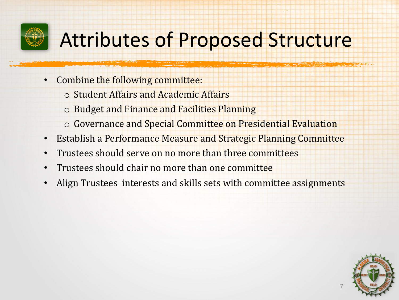

## Attributes of Proposed Structure

- Combine the following committee:
	- o Student Affairs and Academic Affairs
	- o Budget and Finance and Facilities Planning
	- o Governance and Special Committee on Presidential Evaluation
- Establish a Performance Measure and Strategic Planning Committee
- Trustees should serve on no more than three committees
- Trustees should chair no more than one committee
- Align Trustees interests and skills sets with committee assignments

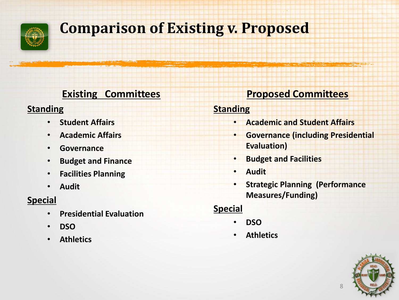

## **Comparison of Existing v. Proposed**

## **Existing Committees**

### **Standing**

- **Student Affairs**
- **Academic Affairs**
- **Governance**
- **Budget and Finance**
- **Facilities Planning**
- **Audit**

## **Special**

- **Presidential Evaluation**
- **DSO**
- **Athletics**

## **Proposed Committees**

### **Standing**

- **Academic and Student Affairs**
- **Governance (including Presidential Evaluation)**
- **Budget and Facilities**
- **Audit**
- **Strategic Planning (Performance Measures/Funding)**

## **Special**

- **DSO**
- **Athletics**

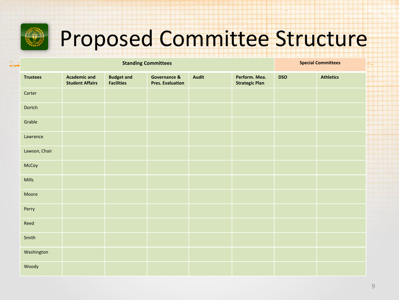

# Proposed Committee Structure

|                 | <b>Special Committees</b>                     |                                        |                                         |              |                                        |            |                  |
|-----------------|-----------------------------------------------|----------------------------------------|-----------------------------------------|--------------|----------------------------------------|------------|------------------|
| <b>Trustees</b> | <b>Academic and</b><br><b>Student Affairs</b> | <b>Budget and</b><br><b>Facilities</b> | Governance &<br><b>Pres. Evaluation</b> | <b>Audit</b> | Perform. Mea.<br><b>Strategic Plan</b> | <b>DSO</b> | <b>Athletics</b> |
| Carter          |                                               |                                        |                                         |              |                                        |            |                  |
| Dortch          |                                               |                                        |                                         |              |                                        |            |                  |
| Grable          |                                               |                                        |                                         |              |                                        |            |                  |
| Lawrence        |                                               |                                        |                                         |              |                                        |            |                  |
| Lawson, Chair   |                                               |                                        |                                         |              |                                        |            |                  |
| McCoy           |                                               |                                        |                                         |              |                                        |            |                  |
| Mills           |                                               |                                        |                                         |              |                                        |            |                  |
| Moore           |                                               |                                        |                                         |              |                                        |            |                  |
| Perry           |                                               |                                        |                                         |              |                                        |            |                  |
| Reed            |                                               |                                        |                                         |              |                                        |            |                  |
| Smith           |                                               |                                        |                                         |              |                                        |            |                  |
| Washington      |                                               |                                        |                                         |              |                                        |            |                  |
| Woody           |                                               |                                        |                                         |              |                                        |            |                  |